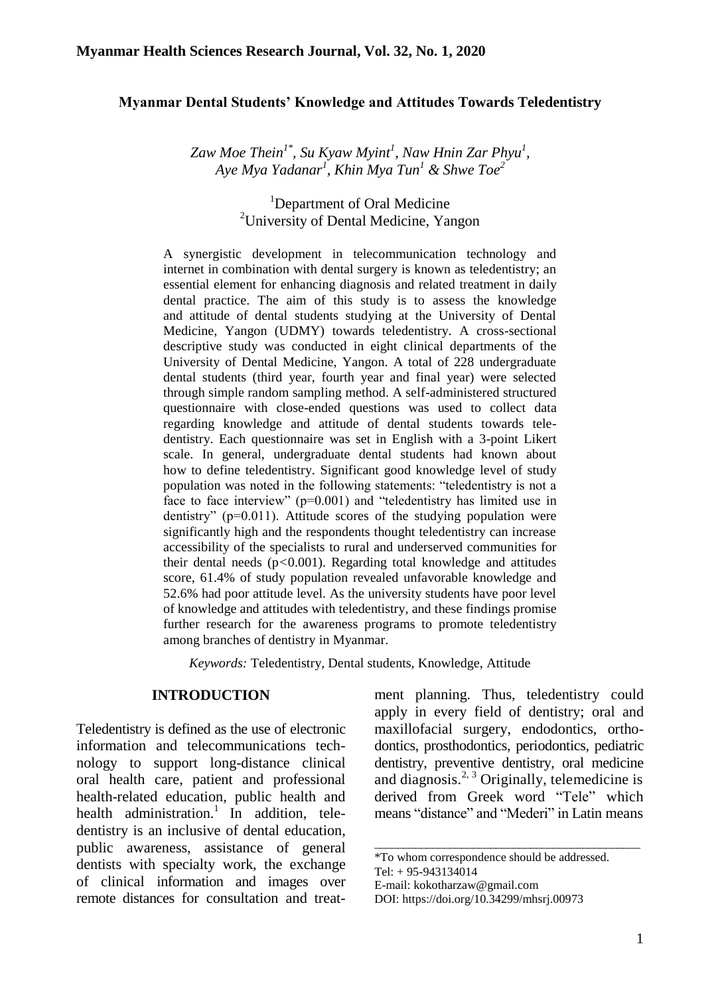### **Myanmar Dental Students' Knowledge and Attitudes Towards Teledentistry**

*Zaw Moe Thein1\* , Su Kyaw Myint<sup>1</sup> , Naw Hnin Zar Phyu<sup>1</sup> , Aye Mya Yadanar<sup>1</sup> , Khin Mya Tun<sup>1</sup> & Shwe Toe<sup>2</sup>*

# <sup>1</sup>Department of Oral Medicine <sup>2</sup>University of Dental Medicine, Yangon

A synergistic development in telecommunication technology and internet in combination with dental surgery is known as teledentistry; an essential element for enhancing diagnosis and related treatment in daily dental practice. The aim of this study is to assess the knowledge and attitude of dental students studying at the University of Dental Medicine, Yangon (UDMY) towards teledentistry. A cross-sectional descriptive study was conducted in eight clinical departments of the University of Dental Medicine, Yangon. A total of 228 undergraduate dental students (third year, fourth year and final year) were selected through simple random sampling method. A self-administered structured questionnaire with close-ended questions was used to collect data regarding knowledge and attitude of dental students towards teledentistry. Each questionnaire was set in English with a 3-point Likert scale. In general, undergraduate dental students had known about how to define teledentistry. Significant good knowledge level of study population was noted in the following statements: "teledentistry is not a face to face interview" (p=0.001) and "teledentistry has limited use in dentistry" ( $p=0.011$ ). Attitude scores of the studying population were significantly high and the respondents thought teledentistry can increase accessibility of the specialists to rural and underserved communities for their dental needs (p*<*0.001). Regarding total knowledge and attitudes score, 61.4% of study population revealed unfavorable knowledge and 52.6% had poor attitude level. As the university students have poor level of knowledge and attitudes with teledentistry, and these findings promise further research for the awareness programs to promote teledentistry among branches of dentistry in Myanmar.

*Keywords:* Teledentistry, Dental students, Knowledge, Attitude

### **INTRODUCTION**

Teledentistry is defined as the use of electronic information and telecommunications technology to support long-distance clinical oral health care, patient and professional health-related education, public health and health administration.<sup>1</sup> In addition, teledentistry is an inclusive of dental education, public awareness, assistance of general dentists with specialty work, the exchange of clinical information and images over remote distances for consultation and treatment planning. Thus, teledentistry could apply in every field of dentistry; oral and maxillofacial surgery, endodontics, orthodontics, prosthodontics, periodontics, pediatric dentistry, preventive dentistry, oral medicine and diagnosis.<sup>2, 3</sup> Originally, telemedicine is derived from Greek word "Tele" which means "distance" and "Mederi" in Latin means

\_\_\_\_\_\_\_\_\_\_\_\_\_\_\_\_\_\_\_\_\_\_\_\_\_\_\_\_\_\_\_\_\_\_\_\_\_\_\_\_\_\_\_\_\_\_

<sup>\*</sup>To whom correspondence should be addressed.

Tel: + 95-943134014

E-mail: [kokotharzaw@gmail.com](mailto:kokotharzaw@gmail.com)

DOI: [https://doi.org/10.34299/mhsrj.0097](https://doi.org/10.34299/mhsrj.009)3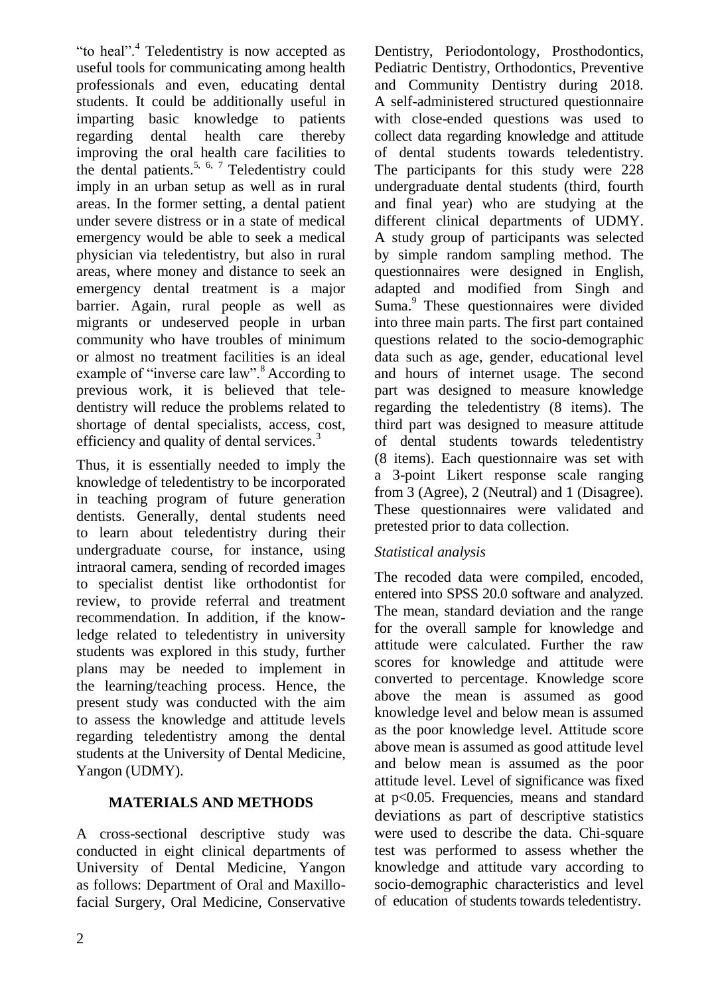"to heal".<sup>4</sup> Teledentistry is now accepted as useful tools for communicating among health professionals and even, educating dental students. It could be additionally useful in imparting basic knowledge to patients regarding dental health care thereby improving the oral health care facilities to the dental patients.<sup>5, 6, 7</sup> Teledentistry could imply in an urban setup as well as in rural areas. In the former setting, a dental patient under severe distress or in a state of medical emergency would be able to seek a medical physician via teledentistry, but also in rural areas, where money and distance to seek an emergency dental treatment is a major barrier. Again, rural people as well as migrants or undeserved people in urban community who have troubles of minimum or almost no treatment facilities is an ideal example of "inverse care law".<sup>8</sup> According to previous work, it is believed that teledentistry will reduce the problems related to shortage of dental specialists, access, cost, efficiency and quality of dental services.<sup>3</sup>

Thus, it is essentially needed to imply the knowledge of teledentistry to be incorporated in teaching program of future generation dentists. Generally, dental students need to learn about teledentistry during their undergraduate course, for instance, using intraoral camera, sending of recorded images to specialist dentist like orthodontist for review, to provide referral and treatment recommendation. In addition, if the knowledge related to teledentistry in university students was explored in this study, further plans may be needed to implement in the learning/teaching process. Hence, the present study was conducted with the aim to assess the knowledge and attitude levels regarding teledentistry among the dental students at the University of Dental Medicine, Yangon (UDMY).

# **MATERIALS AND METHODS**

A cross-sectional descriptive study was conducted in eight clinical departments of University of Dental Medicine, Yangon as follows: Department of Oral and Maxillofacial Surgery, Oral Medicine, Conservative

Dentistry, Periodontology, Prosthodontics, Pediatric Dentistry, Orthodontics, Preventive and Community Dentistry during 2018. A self-administered structured questionnaire with close-ended questions was used to collect data regarding knowledge and attitude of dental students towards teledentistry. The participants for this study were 228 undergraduate dental students (third, fourth and final year) who are studying at the different clinical departments of UDMY. A study group of participants was selected by simple random sampling method. The questionnaires were designed in English, adapted and modified from Singh and Suma.<sup>9</sup> These questionnaires were divided into three main parts. The first part contained questions related to the socio-demographic data such as age, gender, educational level and hours of internet usage. The second part was designed to measure knowledge regarding the teledentistry (8 items). The third part was designed to measure attitude of dental students towards teledentistry (8 items). Each questionnaire was set with a 3-point Likert response scale ranging from 3 (Agree), 2 (Neutral) and 1 (Disagree). These questionnaires were validated and pretested prior to data collection.

# *Statistical analysis*

The recoded data were compiled, encoded, entered into SPSS 20.0 software and analyzed. The mean, standard deviation and the range for the overall sample for knowledge and attitude were calculated. Further the raw scores for knowledge and attitude were converted to percentage. Knowledge score above the mean is assumed as good knowledge level and below mean is assumed as the poor knowledge level. Attitude score above mean is assumed as good attitude level and below mean is assumed as the poor attitude level. Level of significance was fixed at p<0.05. Frequencies, means and standard deviations as part of descriptive statistics were used to describe the data. Chi-square test was performed to assess whether the knowledge and attitude vary according to socio-demographic characteristics and level of education of students towards teledentistry.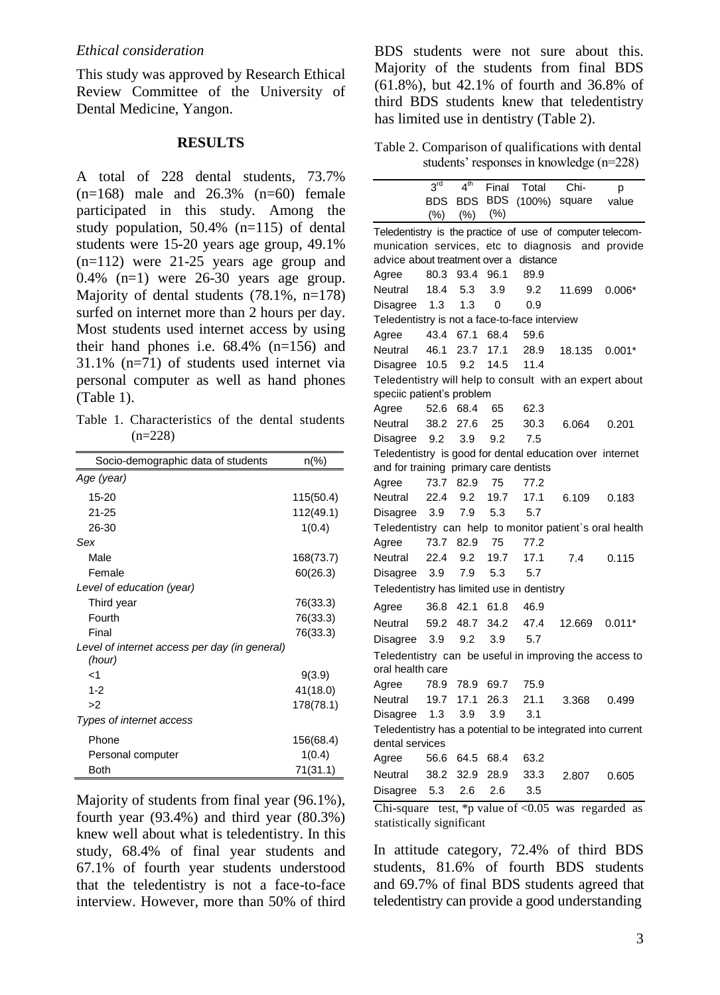This study was approved by Research Ethical Review Committee of the University of Dental Medicine, Yangon.

#### **RESULTS**

A total of 228 dental students, 73.7%  $(n=168)$  male and  $26.3\%$   $(n=60)$  female participated in this study. Among the study population, 50.4% (n=115) of dental students were 15-20 years age group, 49.1% (n=112) were 21-25 years age group and  $0.4\%$  (n=1) were 26-30 years age group. Majority of dental students  $(78.1\% , n=178)$ surfed on internet more than 2 hours per day. Most students used internet access by using their hand phones i.e. 68.4% (n=156) and 31.1% (n=71) of students used internet via personal computer as well as hand phones (Table 1).

Table 1. Characteristics of the dental students  $(n=228)$ 

| Socio-demographic data of students                      | $n\frac{6}{6}$ |
|---------------------------------------------------------|----------------|
| Age (year)                                              |                |
| 15-20                                                   | 115(50.4)      |
| $21 - 25$                                               | 112(49.1)      |
| 26-30                                                   | 1(0.4)         |
| Sex                                                     |                |
| Male                                                    | 168(73.7)      |
| Female                                                  | 60(26.3)       |
| Level of education (year)                               |                |
| Third year                                              | 76(33.3)       |
| Fourth                                                  | 76(33.3)       |
| Final                                                   | 76(33.3)       |
| Level of internet access per day (in general)<br>(hour) |                |
| -1                                                      | 9(3.9)         |
| $1 - 2$                                                 | 41(18.0)       |
| >2                                                      | 178(78.1)      |
| Types of internet access                                |                |
| Phone                                                   | 156(68.4)      |
| Personal computer                                       | 1(0.4)         |
| Both                                                    | 71(31.1)       |

Majority of students from final year (96.1%), fourth year (93.4%) and third year (80.3%) knew well about what is teledentistry. In this study, 68.4% of final year students and 67.1% of fourth year students understood that the teledentistry is not a face-to-face interview. However, more than 50% of third BDS students were not sure about this. Majority of the students from final BDS (61.8%), but 42.1% of fourth and 36.8% of third BDS students knew that teledentistry has limited use in dentistry (Table 2).

Table 2. Comparison of qualifications with dental students' responses in knowledge (n=228)

|                                                             | 3 <sup>rd</sup> | $4^{\text{th}}$ | Final          | Total     | Chi-          | р        |
|-------------------------------------------------------------|-----------------|-----------------|----------------|-----------|---------------|----------|
|                                                             | BDS             | <b>BDS</b>      | <b>BDS</b>     | $(100\%)$ | square        | value    |
|                                                             |                 | $(\%)$ $(\%)$   | $(\%)$         |           |               |          |
| Teledentistry is the practice of use of computer telecom-   |                 |                 |                |           |               |          |
| munication services, etc to diagnosis and provide           |                 |                 |                |           |               |          |
| advice about treatment over a                               |                 |                 |                | distance  |               |          |
| Agree                                                       | 80.3            | 93.4            | 96.1           | 89.9      |               |          |
| Neutral                                                     | 18.4            | 5.3             | 3.9            | 9.2       | 11.699        | $0.006*$ |
| Disagree                                                    | 1.3             | 1.3             | 0              | 0.9       |               |          |
| Teledentistry is not a face-to-face interview               |                 |                 |                |           |               |          |
| Agree                                                       | 43.4 67.1       |                 | 68.4           | 59.6      |               |          |
| Neutral                                                     | 46.1            | 23.7            | 17.1           | 28.9      | 18.135 0.001* |          |
| Disagree                                                    | 10.5            | 9.2             | 14.5           | 11.4      |               |          |
| Teledentistry will help to consult with an expert about     |                 |                 |                |           |               |          |
| speciic patient's problem                                   |                 |                 |                |           |               |          |
| Agree                                                       | 52.6            | 68.4            | 65             | 62.3      |               |          |
| Neutral                                                     | 38.2            | 27.6            | 25             | 30.3      | 6.064         | 0.201    |
| Disagree                                                    | 9.2             | 3.9             | 9.2            | 7.5       |               |          |
| Teledentistry is good for dental education over internet    |                 |                 |                |           |               |          |
| and for training primary care dentists                      |                 |                 |                |           |               |          |
| Agree                                                       | 73.7            | 82.9            | 75             | 77.2      |               |          |
| Neutral                                                     | 22.4            | 9.2             | 19.7           | 17.1      | 6.109         | 0.183    |
| Disagree                                                    | 3.9             | 7.9             | 5.3            | 5.7       |               |          |
| Teledentistry can help to monitor patient's oral health     |                 |                 |                |           |               |          |
| Agree                                                       | 73.7            | 82.9            | 75             | 77.2      |               |          |
| Neutral                                                     | 22.4            | 9.2             | 19.7           | 17.1      | 7.4           | 0.115    |
| Disagree                                                    | 3.9             | 7.9             | 5.3            | 5.7       |               |          |
| Teledentistry has limited use in dentistry                  |                 |                 |                |           |               |          |
| Agree                                                       |                 |                 | 36.8 42.1 61.8 | 46.9      |               |          |
| Neutral                                                     | 59.2            | 48.7            | 34.2           | 47.4      | 12.669        | $0.011*$ |
| Disagree                                                    | 3.9             | 9.2             | 3.9            | 5.7       |               |          |
| Teledentistry can be useful in improving the access to      |                 |                 |                |           |               |          |
| oral health care                                            |                 |                 |                |           |               |          |
| Agree                                                       | 78.9            | 78.9            | 69.7           | 75.9      |               |          |
| Neutral                                                     | 19.7            | 17.1            | 26.3           | 21.1      | 3.368         | 0.499    |
| Disagree                                                    | 1.3             | 3.9             | 3.9            | 3.1       |               |          |
| Teledentistry has a potential to be integrated into current |                 |                 |                |           |               |          |
| dental services                                             |                 |                 |                |           |               |          |
| Agree                                                       | 56.6            | 64.5            | 68.4           | 63.2      |               |          |
| Neutral                                                     | 38.2            | 32.9            | 28.9           | 33.3      | 2.807         | 0.605    |
| Disagree                                                    | 5.3             | 2.6             | 2.6            | 3.5       |               |          |

Chi-square test, \*p value of  $\langle 0.05 \rangle$  was regarded as statistically significant

In attitude category, 72.4% of third BDS students, 81.6% of fourth BDS students and 69.7% of final BDS students agreed that teledentistry can provide a good understanding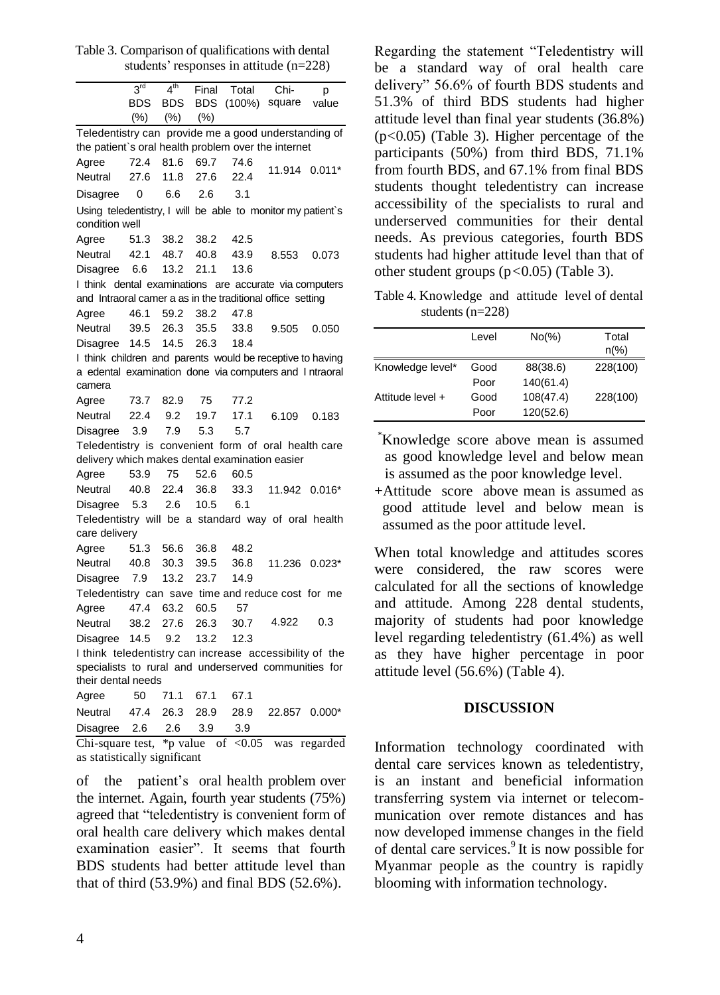Table 3. Comparison of qualifications with dental students' responses in attitude (n=228)

|                                                             | $3^{\text{rd}}$ | 4 <sup>th</sup> | Final      | Total     | Chi-          | р        |
|-------------------------------------------------------------|-----------------|-----------------|------------|-----------|---------------|----------|
|                                                             | <b>BDS</b>      | <b>BDS</b>      | <b>BDS</b> | $(100\%)$ | square        | value    |
|                                                             | $(\% )$         | $(\% )$         | (% )       |           |               |          |
| Teledentistry can provide me a good understanding of        |                 |                 |            |           |               |          |
| the patient's oral health problem over the internet         |                 |                 |            |           |               |          |
| Agree                                                       | 72.4            | 81.6            | 69.7       | 74.6      | 11.914 0.011* |          |
| Neutral                                                     | 27.6            | 11.8            | 27.6       | 22.4      |               |          |
| Disagree                                                    | 0               | 6.6             | 2.6        | 3.1       |               |          |
| Using teledentistry, I will be able to monitor my patient's |                 |                 |            |           |               |          |
| condition well                                              |                 |                 |            |           |               |          |
| Agree                                                       | 51.3            | 38.2            | 38.2       | 42.5      |               |          |
| Neutral                                                     | 42.1            | 48.7            | 40.8       | 43.9      | 8.553         | 0.073    |
| Disagree                                                    | 6.6             | 13.2            | 21.1       | 13.6      |               |          |
| I think dental examinations are accurate via computers      |                 |                 |            |           |               |          |
| and Intraoral camer a as in the traditional office setting  |                 |                 |            |           |               |          |
| Agree                                                       | 46.1            | 59.2            | 38.2       | 47.8      |               |          |
| Neutral                                                     | 39.5            | 26.3            | 35.5       | 33.8      | 9.505         | 0.050    |
| Disagree                                                    | 14.5            | 14.5            | 26.3       | 18.4      |               |          |
| I think children and parents would be receptive to having   |                 |                 |            |           |               |          |
| a edental examination done via computers and Intraoral      |                 |                 |            |           |               |          |
| camera                                                      |                 |                 |            |           |               |          |
| Agree                                                       | 73.7            | 82.9            | 75         | 77.2      |               |          |
| Neutral                                                     | 22.4            | 9.2             | 19.7       | 17.1      | 6.109         | 0.183    |
| Disagree                                                    | 3.9             | 7.9             | 5.3        | 5.7       |               |          |
| Teledentistry is convenient form of oral health care        |                 |                 |            |           |               |          |
| delivery which makes dental examination easier              |                 |                 |            |           |               |          |
| Agree                                                       | 53.9            | 75              | 52.6       | 60.5      |               |          |
| Neutral                                                     | 40.8            | 22.4            | 36.8       | 33.3      | 11.942 0.016* |          |
| Disagree                                                    | 5.3             | 2.6             | 10.5       | 6.1       |               |          |
| Teledentistry will be a standard way of oral health         |                 |                 |            |           |               |          |
| care delivery                                               |                 |                 |            |           |               |          |
| Agree                                                       | 51.3            | 56.6            | 36.8       | 48.2      |               |          |
| Neutral                                                     | 40.8            | 30.3            | 39.5       | 36.8      | 11.236        | $0.023*$ |
| Disagree                                                    | 7.9             | 13.2            | 23.7       | 14.9      |               |          |
| Teledentistry can save time and reduce cost for me          |                 |                 |            |           |               |          |
| Agree                                                       | 47.4            | 63.2            | 60.5       | 57        |               |          |
| Neutral                                                     | 38.2            | 27.6            | 26.3       | 30.7      | 4.922         | 0.3      |
| Disagree                                                    | 14.5            | 9.2             | 13.2       | 12.3      |               |          |
| I think teledentistry can increase accessibility of the     |                 |                 |            |           |               |          |
| specialists to rural and underserved communities for        |                 |                 |            |           |               |          |
| their dental needs                                          |                 |                 |            |           |               |          |
| Agree                                                       | 50              | 71.1            | 67.1       | 67.1      |               |          |
| Neutral                                                     | 47.4            | 26.3            | 28.9       | 28.9      | 22.857        | $0.000*$ |
| Disagree                                                    | 2.6             | 2.6             | 3.9        | 3.9       |               |          |

Chi-square test, \*p value of  $< 0.05$  was regarded as statistically significant

of the patient's oral health problem over the internet. Again, fourth year students (75%) agreed that "teledentistry is convenient form of oral health care delivery which makes dental examination easier". It seems that fourth BDS students had better attitude level than that of third (53.9%) and final BDS (52.6%).

Regarding the statement "Teledentistry will be a standard way of oral health care delivery" 56.6% of fourth BDS students and 51.3% of third BDS students had higher attitude level than final year students (36.8%) (p*<*0.05) (Table 3). Higher percentage of the participants (50%) from third BDS, 71.1% from fourth BDS, and 67.1% from final BDS students thought teledentistry can increase accessibility of the specialists to rural and underserved communities for their dental needs. As previous categories, fourth BDS students had higher attitude level than that of other student groups (p*<*0.05) (Table 3).

Table 4. Knowledge and attitude level of dental students (n=228)

|                  | Level | $No(\%)$  | Total          |
|------------------|-------|-----------|----------------|
|                  |       |           | $n\frac{9}{6}$ |
| Knowledge level* | Good  | 88(38.6)  | 228(100)       |
|                  | Poor  | 140(61.4) |                |
| Attitude level + | Good  | 108(47.4) | 228(100)       |
|                  | Poor  | 120(52.6) |                |

\*Knowledge score above mean is assumed as good knowledge level and below mean is assumed as the poor knowledge level.

+Attitude score above mean is assumed as good attitude level and below mean is assumed as the poor attitude level.

When total knowledge and attitudes scores were considered, the raw scores were calculated for all the sections of knowledge and attitude. Among 228 dental students, majority of students had poor knowledge level regarding teledentistry (61.4%) as well as they have higher percentage in poor attitude level (56.6%) (Table 4).

#### **DISCUSSION**

Information technology coordinated with dental care services known as teledentistry, is an instant and beneficial information transferring system via internet or telecommunication over remote distances and has now developed immense changes in the field of dental care services. $9$  It is now possible for Myanmar people as the country is rapidly blooming with information technology.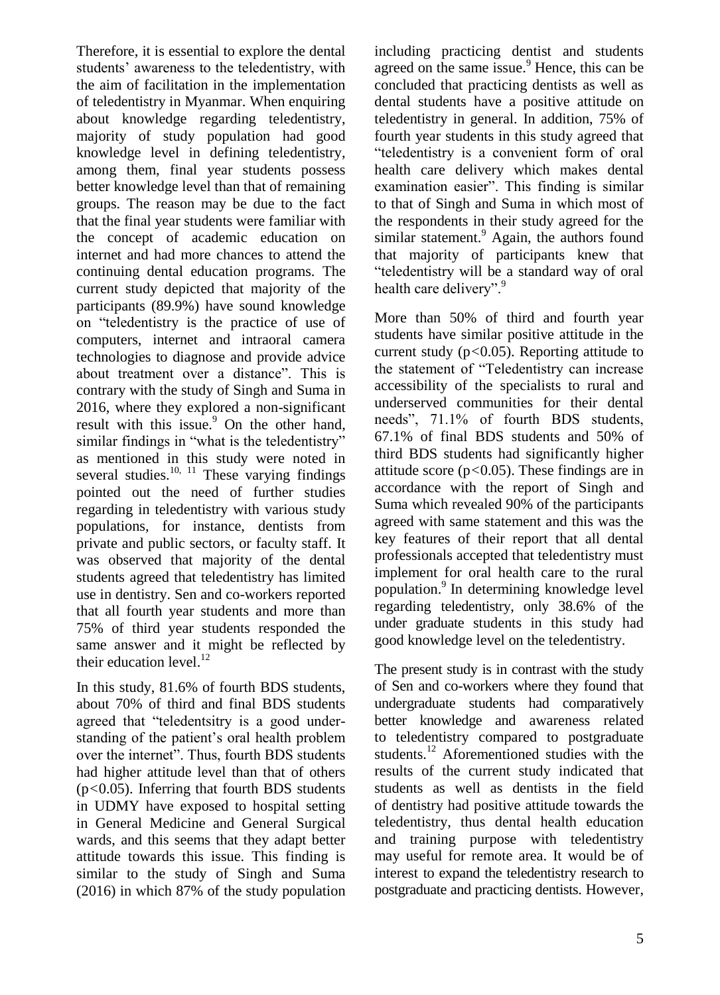Therefore, it is essential to explore the dental students' awareness to the teledentistry, with the aim of facilitation in the implementation of teledentistry in Myanmar. When enquiring about knowledge regarding teledentistry, majority of study population had good knowledge level in defining teledentistry, among them, final year students possess better knowledge level than that of remaining groups. The reason may be due to the fact that the final year students were familiar with the concept of academic education on internet and had more chances to attend the continuing dental education programs. The current study depicted that majority of the participants (89.9%) have sound knowledge on "teledentistry is the practice of use of computers, internet and intraoral camera technologies to diagnose and provide advice about treatment over a distance". This is contrary with the study of Singh and Suma in 2016, where they explored a non-significant result with this issue.<sup>9</sup> On the other hand, similar findings in "what is the teledentistry" as mentioned in this study were noted in several studies.<sup>10, 11</sup> These varying findings pointed out the need of further studies regarding in teledentistry with various study populations, for instance, dentists from private and public sectors, or faculty staff. It was observed that majority of the dental students agreed that teledentistry has limited use in dentistry. Sen and co-workers reported that all fourth year students and more than 75% of third year students responded the same answer and it might be reflected by their education level. $^{12}$ 

In this study, 81.6% of fourth BDS students, about 70% of third and final BDS students agreed that "teledentsitry is a good understanding of the patient's oral health problem over the internet". Thus, fourth BDS students had higher attitude level than that of others (p*<*0.05). Inferring that fourth BDS students in UDMY have exposed to hospital setting in General Medicine and General Surgical wards, and this seems that they adapt better attitude towards this issue. This finding is similar to the study of Singh and Suma (2016) in which 87% of the study population

including practicing dentist and students agreed on the same issue.<sup>9</sup> Hence, this can be concluded that practicing dentists as well as dental students have a positive attitude on teledentistry in general. In addition, 75% of fourth year students in this study agreed that "teledentistry is a convenient form of oral health care delivery which makes dental examination easier". This finding is similar to that of Singh and Suma in which most of the respondents in their study agreed for the similar statement.<sup>9</sup> Again, the authors found that majority of participants knew that "teledentistry will be a standard way of oral health care delivery".<sup>9</sup>

More than 50% of third and fourth year students have similar positive attitude in the current study (p*<*0.05). Reporting attitude to the statement of "Teledentistry can increase accessibility of the specialists to rural and underserved communities for their dental needs", 71.1% of fourth BDS students, 67.1% of final BDS students and 50% of third BDS students had significantly higher attitude score (p*<*0.05). These findings are in accordance with the report of Singh and Suma which revealed 90% of the participants agreed with same statement and this was the key features of their report that all dental professionals accepted that teledentistry must implement for oral health care to the rural population.<sup>9</sup> In determining knowledge level regarding teledentistry, only 38.6% of the under graduate students in this study had good knowledge level on the teledentistry.

The present study is in contrast with the study of Sen and co-workers where they found that undergraduate students had comparatively better knowledge and awareness related to teledentistry compared to postgraduate students.<sup>12</sup> Aforementioned studies with the results of the current study indicated that students as well as dentists in the field of dentistry had positive attitude towards the teledentistry, thus dental health education and training purpose with teledentistry may useful for remote area. It would be of interest to expand the teledentistry research to postgraduate and practicing dentists. However,